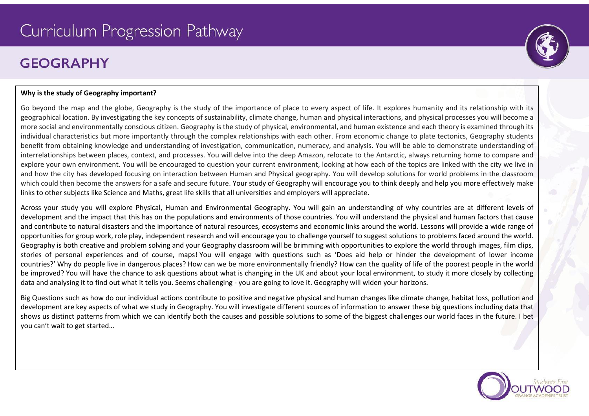# Curriculum Progression Pathway

# **GFOGRAPHY**

# **Why is the study of Geography important?**

Go beyond the map and the globe, Geography is the study of the importance of place to every aspect of life. It explores humanity and its relationship with its geographical location. By investigating the key concepts of sustainability, climate change, human and physical interactions, and physical processes you will become a more social and environmentally conscious citizen. Geography is the study of physical, environmental, and human existence and each theory is examined through its individual characteristics but more importantly through the complex relationships with each other. From economic change to plate tectonics, Geography students benefit from obtaining knowledge and understanding of investigation, communication, numeracy, and analysis. You will be able to demonstrate understanding of interrelationships between places, context, and processes. You will delve into the deep Amazon, relocate to the Antarctic, always returning home to compare and explore your own environment. You will be encouraged to question your current environment, looking at how each of the topics are linked with the city we live in and how the city has developed focusing on interaction between Human and Physical geography. You will develop solutions for world problems in the classroom which could then become the answers for a safe and secure future. Your study of Geography will encourage you to think deeply and help you more effectively make links to other subjects like Science and Maths, great life skills that all universities and employers will appreciate.

Across your study you will explore Physical, Human and Environmental Geography. You will gain an understanding of why countries are at different levels of development and the impact that this has on the populations and environments of those countries. You will understand the physical and human factors that cause and contribute to natural disasters and the importance of natural resources, ecosystems and economic links around the world. Lessons will provide a wide range of opportunities for group work, role play, independent research and will encourage you to challenge yourself to suggest solutions to problems faced around the world. Geography is both creative and problem solving and your Geography classroom will be brimming with opportunities to explore the world through images, film clips, stories of personal experiences and of course, maps! You will engage with questions such as 'Does aid help or hinder the development of lower income countries?' Why do people live in dangerous places? How can we be more environmentally friendly? How can the quality of life of the poorest people in the world be improved? You will have the chance to ask questions about what is changing in the UK and about your local environment, to study it more closely by collecting data and analysing it to find out what it tells you. Seems challenging - you are going to love it. Geography will widen your horizons.

Big Questions such as how do our individual actions contribute to positive and negative physical and human changes like climate change, habitat loss, pollution and development are key aspects of what we study in Geography. You will investigate different sources of information to answer these big questions including data that shows us distinct patterns from which we can identify both the causes and possible solutions to some of the biggest challenges our world faces in the future. I bet you can't wait to get started…



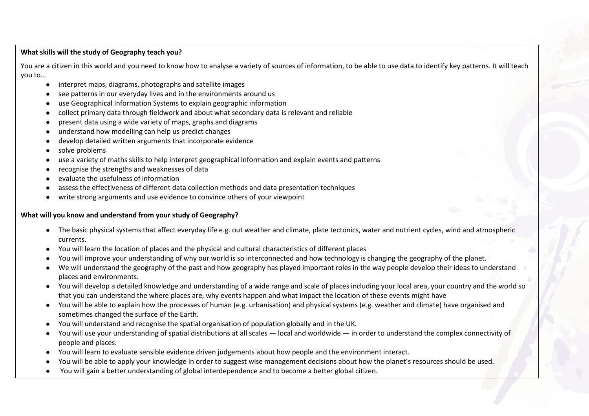# **What skills will the study of Geography teach you?**

You are a citizen in this world and you need to know how to analyse a variety of sources of information, to be able to use data to identify key patterns. It will teach you to…

- interpret maps, diagrams, photographs and satellite images
- see patterns in our everyday lives and in the environments around us
- use Geographical Information Systems to explain geographic information
- collect primary data through fieldwork and about what secondary data is relevant and reliable
- present data using a wide variety of maps, graphs and diagrams
- understand how modelling can help us predict changes
- develop detailed written arguments that incorporate evidence
- solve problems
- use a variety of maths skills to help interpret geographical information and explain events and patterns
- recognise the strengths and weaknesses of data
- evaluate the usefulness of information
- assess the effectiveness of different data collection methods and data presentation techniques
- write strong arguments and use evidence to convince others of your viewpoint

# **What will you know and understand from your study of Geography?**

- The basic physical systems that affect everyday life e.g. out weather and climate, plate tectonics, water and nutrient cycles, wind and atmospheric currents.
- You will learn the location of places and the physical and cultural characteristics of different places
- You will improve your understanding of why our world is so interconnected and how technology is changing the geography of the planet.
- We will understand the geography of the past and how geography has played important roles in the way people develop their ideas to understand places and environments.
- You will develop a detailed knowledge and understanding of a wide range and scale of places including your local area, your country and the world so that you can understand the where places are, why events happen and what impact the location of these events might have
- You will be able to explain how the processes of human (e.g. urbanisation) and physical systems (e.g. weather and climate) have organised and sometimes changed the surface of the Earth.
- You will understand and recognise the spatial organisation of population globally and in the UK.
- You will use your understanding of spatial distributions at all scales local and worldwide in order to understand the complex connectivity of people and places.
- You will learn to evaluate sensible evidence driven judgements about how people and the environment interact.
- You will be able to apply your knowledge in order to suggest wise management decisions about how the planet's resources should be used.
- You will gain a better understanding of global interdependence and to become a better global citizen.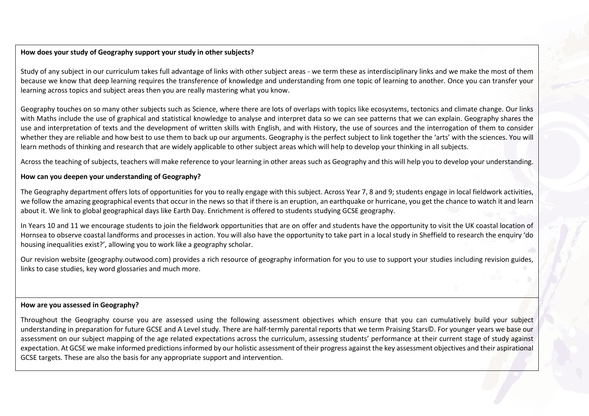# **How does your study of Geography support your study in other subjects?**

Study of any subject in our curriculum takes full advantage of links with other subject areas - we term these as interdisciplinary links and we make the most of them because we know that deep learning requires the transference of knowledge and understanding from one topic of learning to another. Once you can transfer your learning across topics and subject areas then you are really mastering what you know.

Geography touches on so many other subjects such as Science, where there are lots of overlaps with topics like ecosystems, tectonics and climate change. Our links with Maths include the use of graphical and statistical knowledge to analyse and interpret data so we can see patterns that we can explain. Geography shares the use and interpretation of texts and the development of written skills with English, and with History, the use of sources and the interrogation of them to consider whether they are reliable and how best to use them to back up our arguments. Geography is the perfect subject to link together the 'arts' with the sciences. You will learn methods of thinking and research that are widely applicable to other subject areas which will help to develop your thinking in all subjects.

Across the teaching of subjects, teachers will make reference to your learning in other areas such as Geography and this will help you to develop your understanding.

# **How can you deepen your understanding of Geography?**

The Geography department offers lots of opportunities for you to really engage with this subject. Across Year 7, 8 and 9; students engage in local fieldwork activities, we follow the amazing geographical events that occur in the news so that if there is an eruption, an earthquake or hurricane, you get the chance to watch it and learn about it. We link to global geographical days like Earth Day. Enrichment is offered to students studying GCSE geography.

In Years 10 and 11 we encourage students to join the fieldwork opportunities that are on offer and students have the opportunity to visit the UK coastal location of Hornsea to observe coastal landforms and processes in action. You will also have the opportunity to take part in a local study in Sheffield to research the enquiry 'do housing inequalities exist?', allowing you to work like a geography scholar.

Our revision website (geography.outwood.com) provides a rich resource of geography information for you to use to support your studies including revision guides, links to case studies, key word glossaries and much more.

#### **How are you assessed in Geography?**

Throughout the Geography course you are assessed using the following assessment objectives which ensure that you can cumulatively build your subject understanding in preparation for future GCSE and A Level study. There are half-termly parental reports that we term Praising Stars©. For younger years we base our assessment on our subject mapping of the age related expectations across the curriculum, assessing students' performance at their current stage of study against expectation. At GCSE we make informed predictions informed by our holistic assessment of their progress against the key assessment objectives and their aspirational GCSE targets. These are also the basis for any appropriate support and intervention.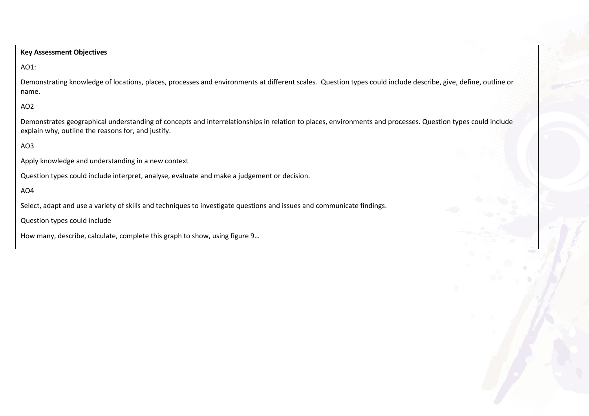## **Key Assessment Objectives**

#### AO1:

Demonstrating knowledge of locations, places, processes and environments at different scales. Question types could include describe, give, define, outline or name.

# AO2

Demonstrates geographical understanding of concepts and interrelationships in relation to places, environments and processes. Question types could include explain why, outline the reasons for, and justify.

# AO3

Apply knowledge and understanding in a new context

Question types could include interpret, analyse, evaluate and make a judgement or decision.

# AO4

Select, adapt and use a variety of skills and techniques to investigate questions and issues and communicate findings.

Question types could include

How many, describe, calculate, complete this graph to show, using figure 9…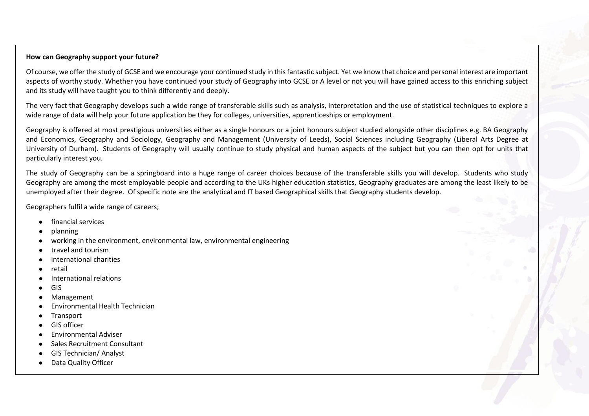# **How can Geography support your future?**

Of course, we offer the study of GCSE and we encourage your continued study in this fantastic subject. Yet we know that choice and personal interest are important aspects of worthy study. Whether you have continued your study of Geography into GCSE or A level or not you will have gained access to this enriching subject and its study will have taught you to think differently and deeply.

The very fact that Geography develops such a wide range of transferable skills such as analysis, interpretation and the use of statistical techniques to explore a wide range of data will help your future application be they for colleges, universities, apprenticeships or employment.

Geography is offered at most prestigious universities either as a single honours or a joint honours subject studied alongside other disciplines e.g. BA Geography and Economics, Geography and Sociology, Geography and Management (University of Leeds), Social Sciences including Geography (Liberal Arts Degree at University of Durham). Students of Geography will usually continue to study physical and human aspects of the subject but you can then opt for units that particularly interest you.

The study of Geography can be a springboard into a huge range of career choices because of the transferable skills you will develop. Students who study Geography are among the most employable people and according to the UKs higher education statistics, Geography graduates are among the least likely to be unemployed after their degree. Of specific note are the analytical and IT based Geographical skills that Geography students develop.

Geographers fulfil a wide range of careers;

- financial services
- planning
- working in the environment, environmental law, environmental engineering
- travel and tourism
- international charities
- retail
- International relations
- GIS
- **Management**
- **Environmental Health Technician**
- **Transport**
- **GIS officer**
- **Environmental Adviser**
- Sales Recruitment Consultant
- **GIS Technician/ Analyst**
- **Data Quality Officer**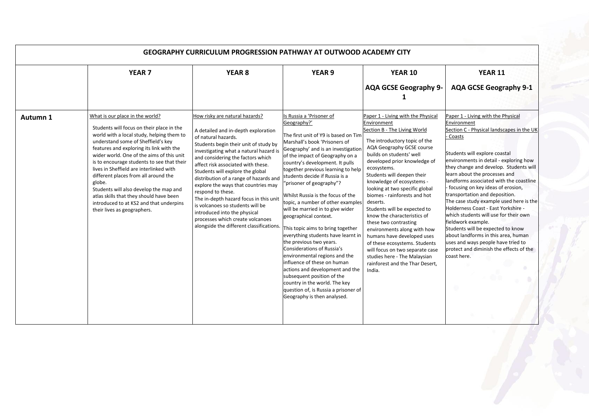| <b>GEOGRAPHY CURRICULUM PROGRESSION PATHWAY AT OUTWOOD ACADEMY CITY</b> |                                                                                                                                                                                                                                                                                                                                                                                                                                                                                                                                                                    |                                                                                                                                                                                                                                                                                                                                                                                                                                                                                                                                                                                                    |                                                                                                                                                                                                                                                                                                                                                                                                                                                                                                                                                                                                                                                                                                                                                                                                                                                      |                                                                                                                                                                                                                                                                                                                                                                                                                                                                                                                                                                                                                                                                           |                                                                                                                                                                                                                                                                                                                                                                                                                                                                                                                                                                                                                                                                                                                 |  |
|-------------------------------------------------------------------------|--------------------------------------------------------------------------------------------------------------------------------------------------------------------------------------------------------------------------------------------------------------------------------------------------------------------------------------------------------------------------------------------------------------------------------------------------------------------------------------------------------------------------------------------------------------------|----------------------------------------------------------------------------------------------------------------------------------------------------------------------------------------------------------------------------------------------------------------------------------------------------------------------------------------------------------------------------------------------------------------------------------------------------------------------------------------------------------------------------------------------------------------------------------------------------|------------------------------------------------------------------------------------------------------------------------------------------------------------------------------------------------------------------------------------------------------------------------------------------------------------------------------------------------------------------------------------------------------------------------------------------------------------------------------------------------------------------------------------------------------------------------------------------------------------------------------------------------------------------------------------------------------------------------------------------------------------------------------------------------------------------------------------------------------|---------------------------------------------------------------------------------------------------------------------------------------------------------------------------------------------------------------------------------------------------------------------------------------------------------------------------------------------------------------------------------------------------------------------------------------------------------------------------------------------------------------------------------------------------------------------------------------------------------------------------------------------------------------------------|-----------------------------------------------------------------------------------------------------------------------------------------------------------------------------------------------------------------------------------------------------------------------------------------------------------------------------------------------------------------------------------------------------------------------------------------------------------------------------------------------------------------------------------------------------------------------------------------------------------------------------------------------------------------------------------------------------------------|--|
|                                                                         | <b>YEAR 7</b>                                                                                                                                                                                                                                                                                                                                                                                                                                                                                                                                                      | <b>YEAR 8</b>                                                                                                                                                                                                                                                                                                                                                                                                                                                                                                                                                                                      | <b>YEAR 9</b>                                                                                                                                                                                                                                                                                                                                                                                                                                                                                                                                                                                                                                                                                                                                                                                                                                        | <b>YEAR 10</b><br><b>AQA GCSE Geography 9-</b>                                                                                                                                                                                                                                                                                                                                                                                                                                                                                                                                                                                                                            | <b>YEAR 11</b><br><b>AQA GCSE Geography 9-1</b>                                                                                                                                                                                                                                                                                                                                                                                                                                                                                                                                                                                                                                                                 |  |
| Autumn 1                                                                | What is our place in the world?<br>Students will focus on their place in the<br>world with a local study, helping them to<br>understand some of Sheffield's key<br>features and exploring its link with the<br>wider world. One of the aims of this unit<br>is to encourage students to see that their<br>lives in Sheffield are interlinked with<br>different places from all around the<br>globe.<br>Students will also develop the map and<br>atlas skills that they should have been<br>introduced to at KS2 and that underpins<br>their lives as geographers. | How risky are natural hazards?<br>A detailed and in-depth exploration<br>of natural hazards.<br>Students begin their unit of study by<br>investigating what a natural hazard is<br>and considering the factors which<br>affect risk associated with these.<br>Students will explore the global<br>distribution of a range of hazards and<br>explore the ways that countries may<br>respond to these.<br>The in-depth hazard focus in this unit<br>is volcanoes so students will be<br>introduced into the physical<br>processes which create volcanoes<br>alongside the different classifications. | Is Russia a 'Prisoner of<br>Geography?'<br>The first unit of Y9 is based on Tim<br>Marshall's book 'Prisoners of<br>Geography' and is an investigation<br>of the impact of Geography on a<br>country's development. It pulls<br>together previous learning to help<br>students decide if Russia is a<br>"prisoner of geography"?<br>Whilst Russia is the focus of the<br>topic, a number of other examples<br>will be married in to give wider<br>geographical context.<br>This topic aims to bring together<br>everything students have learnt in<br>the previous two years.<br>Considerations of Russia's<br>environmental regions and the<br>influence of these on human<br>actions and development and the<br>subsequent position of the<br>country in the world. The key<br>question of, is Russia a prisoner of<br>Geography is then analysed. | Paper 1 - Living with the Physical<br>Environment<br>Section B - The Living World<br>The introductory topic of the<br>AQA Geography GCSE course<br>builds on students' well<br>developed prior knowledge of<br>ecosystems.<br>Students will deepen their<br>knowledge of ecosystems -<br>looking at two specific global<br>biomes - rainforests and hot<br>deserts.<br>Students will be expected to<br>know the characteristics of<br>these two contrasting<br>environments along with how<br>humans have developed uses<br>of these ecosystems. Students<br>will focus on two separate case<br>studies here - The Malaysian<br>rainforest and the Thar Desert,<br>India. | Paper 1 - Living with the Physical<br>Environment<br>Section C - Physical landscapes in the UK<br>Coasts<br>Students will explore coastal<br>environments in detail - exploring how<br>they change and develop. Students will<br>learn about the processes and<br>landforms associated with the coastline<br>- focusing on key ideas of erosion,<br>transportation and deposition.<br>The case study example used here is the<br>Holderness Coast - East Yorkshire -<br>which students will use for their own<br>fieldwork example.<br>Students will be expected to know<br>about landforms in this area, human<br>uses and ways people have tried to<br>protect and diminish the effects of the<br>coast here. |  |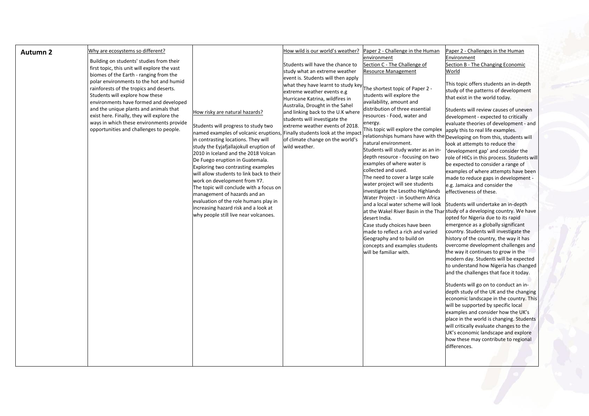| How wild is our world's weather?<br>Why are ecosystems so different?<br>Paper 2 - Challenge in the Human<br>Paper 2 - Challenges in the Human<br>Autumn <sub>2</sub>                                                                                                                                                                                                                                                                                                                                                                                                                                                                                                                                                                                                                                                                                                                                                                                                                                                                                                                                                                                                                                                                                                                                                                                                                                                                                                                                                                                                                                                                                                                                                                                                                                                                                                                                                                                                                                                                                                                                                                                                                                                                                                                                                                                                                                                                                                                                                                                                                                                                                                                                                                                                                                                                                                                                                                                                                                                                                                                                                                                                                                                                                                                                                                                                                                                                                                                                                                                                                                                                                                                                                                                                                                                                                                                                                                                                                                        |  |
|-------------------------------------------------------------------------------------------------------------------------------------------------------------------------------------------------------------------------------------------------------------------------------------------------------------------------------------------------------------------------------------------------------------------------------------------------------------------------------------------------------------------------------------------------------------------------------------------------------------------------------------------------------------------------------------------------------------------------------------------------------------------------------------------------------------------------------------------------------------------------------------------------------------------------------------------------------------------------------------------------------------------------------------------------------------------------------------------------------------------------------------------------------------------------------------------------------------------------------------------------------------------------------------------------------------------------------------------------------------------------------------------------------------------------------------------------------------------------------------------------------------------------------------------------------------------------------------------------------------------------------------------------------------------------------------------------------------------------------------------------------------------------------------------------------------------------------------------------------------------------------------------------------------------------------------------------------------------------------------------------------------------------------------------------------------------------------------------------------------------------------------------------------------------------------------------------------------------------------------------------------------------------------------------------------------------------------------------------------------------------------------------------------------------------------------------------------------------------------------------------------------------------------------------------------------------------------------------------------------------------------------------------------------------------------------------------------------------------------------------------------------------------------------------------------------------------------------------------------------------------------------------------------------------------------------------------------------------------------------------------------------------------------------------------------------------------------------------------------------------------------------------------------------------------------------------------------------------------------------------------------------------------------------------------------------------------------------------------------------------------------------------------------------------------------------------------------------------------------------------------------------------------------------------------------------------------------------------------------------------------------------------------------------------------------------------------------------------------------------------------------------------------------------------------------------------------------------------------------------------------------------------------------------------------------------------------------------------------------------------------------------|--|
| environment<br>Environment<br>Building on students' studies from their<br>Section C - The Challenge of<br>Students will have the chance to<br>Section B - The Changing Economic<br>first topic, this unit will explore the vast<br>Resource Management<br>study what an extreme weather<br>World<br>biomes of the Earth - ranging from the<br>event is. Students will then apply<br>polar environments to the hot and humid<br>This topic offers students an in-depth<br>what they have learnt to study key.<br>The shortest topic of Paper 2 -<br>rainforests of the tropics and deserts.<br>study of the patterns of development<br>extreme weather events e.g<br>Students will explore how these<br>students will explore the<br>that exist in the world today.<br>Hurricane Katrina, wildfires in<br>availability, amount and<br>environments have formed and developed<br>Australia, Drought in the Sahel<br>distribution of three essential<br>and the unique plants and animals that<br>Students will review causes of uneven<br>and linking back to the U.K where<br>How risky are natural hazards?<br>resources - Food, water and<br>exist here. Finally, they will explore the<br>development - expected to critically<br>students will investigate the<br>ways in which these environments provide<br>energy.<br>evaluate theories of development - and<br>extreme weather events of 2018.<br>Students will progress to study two<br>This topic will explore the complex apply this to real life examples.<br>opportunities and challenges to people.<br>named examples of volcanic eruptions, Finally students look at the impact<br>relationships humans have with the Developing on from this, students will<br>of climate change on the world's<br>in contrasting locations. They will<br>natural environment.<br>look at attempts to reduce the<br>study the Eyjafjallajokull eruption of<br>wild weather.<br>Students will study water as an in-<br>'development gap' and consider the<br>2010 in Iceland and the 2018 Volcan<br>depth resource - focusing on two<br>role of HICs in this process. Students will<br>De Fuego eruption in Guatemala.<br>examples of where water is<br>be expected to consider a range of<br>Exploring two contrasting examples<br>collected and used.<br>examples of where attempts have been<br>will allow students to link back to their<br>The need to cover a large scale<br>made to reduce gaps in development -<br>work on development from Y7.<br>water project will see students<br>e.g. Jamaica and consider the<br>The topic will conclude with a focus on<br>investigate the Lesotho Highlands<br>effectiveness of these.<br>management of hazards and an<br>Water Project - in Southern Africa<br>evaluation of the role humans play in<br>Students will undertake an in-depth<br>and a local water scheme will look<br>increasing hazard risk and a look at<br>at the Wakel River Basin in the Thar study of a developing country. We have<br>why people still live near volcanoes.<br>opted for Nigeria due to its rapid<br>desert India.<br>emergence as a globally significant<br>Case study choices have been<br>country. Students will investigate the<br>made to reflect a rich and varied<br>history of the country, the way it has<br>Geography and to build on<br>overcome development challenges and<br>concepts and examples students<br>will be familiar with.<br>the way it continues to grow in the<br>modern day. Students will be expected<br>to understand how Nigeria has changed<br>and the challenges that face it today.<br>Students will go on to conduct an in-<br>depth study of the UK and the changing<br>economic landscape in the country. This<br>will be supported by specific local<br>examples and consider how the UK's<br>place in the world is changing. Students<br>will critically evaluate changes to the<br>UK's economic landscape and explore<br>how these may contribute to regional<br>differences. |  |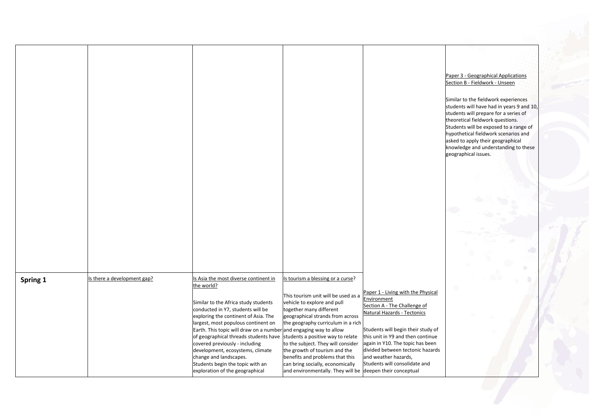|          |                             |                                                                                                                                                                                                                                                                                                                                                                                                                                                                                                      |                                                                                                                                                                                                                                                                                                                                                                                                                                                              |                                                                                                                                                                                                                                                                                                                              | Paper 3 - Geographical Applications<br>Section B - Fieldwork - Unseen<br>Similar to the fieldwork experiences<br>students will have had in years 9 and 10,<br>students will prepare for a series of<br>theoretical fieldwork questions.<br>Students will be exposed to a range of<br>hypothetical fieldwork scenarios and<br>asked to apply their geographical<br>knowledge and understanding to these<br>geographical issues. |
|----------|-----------------------------|------------------------------------------------------------------------------------------------------------------------------------------------------------------------------------------------------------------------------------------------------------------------------------------------------------------------------------------------------------------------------------------------------------------------------------------------------------------------------------------------------|--------------------------------------------------------------------------------------------------------------------------------------------------------------------------------------------------------------------------------------------------------------------------------------------------------------------------------------------------------------------------------------------------------------------------------------------------------------|------------------------------------------------------------------------------------------------------------------------------------------------------------------------------------------------------------------------------------------------------------------------------------------------------------------------------|--------------------------------------------------------------------------------------------------------------------------------------------------------------------------------------------------------------------------------------------------------------------------------------------------------------------------------------------------------------------------------------------------------------------------------|
|          |                             |                                                                                                                                                                                                                                                                                                                                                                                                                                                                                                      |                                                                                                                                                                                                                                                                                                                                                                                                                                                              |                                                                                                                                                                                                                                                                                                                              |                                                                                                                                                                                                                                                                                                                                                                                                                                |
| Spring 1 | Is there a development gap? | Is Asia the most diverse continent in<br>the world?<br>Similar to the Africa study students<br>conducted in Y7, students will be<br>exploring the continent of Asia. The<br>largest, most populous continent on<br>Earth. This topic will draw on a number and engaging way to allow<br>of geographical threads students have<br>covered previously - including<br>development, ecosystems, climate<br>change and landscapes.<br>Students begin the topic with an<br>exploration of the geographical | Is tourism a blessing or a curse?<br>This tourism unit will be used as a<br>vehicle to explore and pull<br>together many different<br>geographical strands from across<br>the geography curriculum in a rich<br>students a positive way to relate<br>to the subject. They will consider<br>the growth of tourism and the<br>benefits and problems that this<br>can bring socially, economically<br>and environmentally. They will be deepen their conceptual | Paper 1 - Living with the Physical<br>Environment<br>Section A - The Challenge of<br>Natural Hazards - Tectonics<br>Students will begin their study of<br>this unit in Y9 and then continue<br>again in Y10. The topic has been<br>divided between tectonic hazards<br>and weather hazards,<br>Students will consolidate and |                                                                                                                                                                                                                                                                                                                                                                                                                                |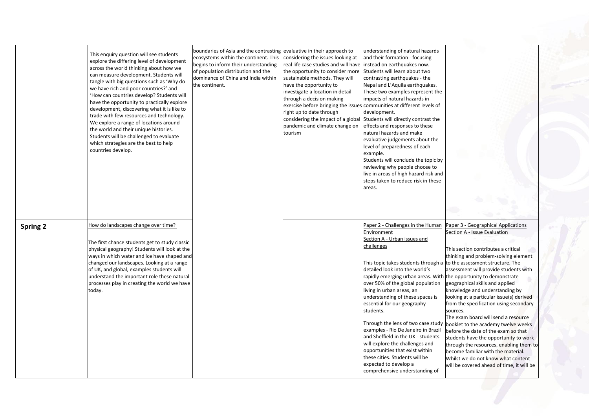|                 | This enquiry question will see students<br>explore the differing level of development<br>across the world thinking about how we<br>can measure development. Students will<br>tangle with big questions such as 'Why do<br>we have rich and poor countries?' and<br>'How can countries develop? Students will<br>have the opportunity to practically explore<br>development, discovering what it is like to<br>trade with few resources and technology.<br>We explore a range of locations around<br>the world and their unique histories.<br>Students will be challenged to evaluate<br>which strategies are the best to help<br>countries develop. | boundaries of Asia and the contrasting evaluative in their approach to<br>ecosystems within the continent. This<br>begins to inform their understanding<br>of population distribution and the<br>dominance of China and India within<br>the continent. | considering the issues looking at<br>real life case studies and will have linstead on earthquakes now.<br>the opportunity to consider more<br>sustainable methods. They will<br>have the opportunity to<br>investigate a location in detail<br>through a decision making<br>exercise before bringing the issues communities at different levels of<br>right up to date through<br>considering the impact of a global Students will directly contrast the<br>pandemic and climate change on<br>tourism | understanding of natural hazards<br>and their formation - focusing<br>Students will learn about two<br>contrasting earthquakes - the<br>Nepal and L'Aquila earthquakes.<br>These two examples represent the<br>impacts of natural hazards in<br>development.<br>effects and responses to these<br>natural hazards and make<br>evaluative judgements about the<br>level of preparedness of each<br>example.<br>Students will conclude the topic by<br>reviewing why people choose to<br>live in areas of high hazard risk and<br>steps taken to reduce risk in these<br>areas.                                                                                                          |                                                                                                                                                                                                                                                                                                                                                                                                                                                                                                                                                                                                                                                                                                                                        |
|-----------------|-----------------------------------------------------------------------------------------------------------------------------------------------------------------------------------------------------------------------------------------------------------------------------------------------------------------------------------------------------------------------------------------------------------------------------------------------------------------------------------------------------------------------------------------------------------------------------------------------------------------------------------------------------|--------------------------------------------------------------------------------------------------------------------------------------------------------------------------------------------------------------------------------------------------------|-------------------------------------------------------------------------------------------------------------------------------------------------------------------------------------------------------------------------------------------------------------------------------------------------------------------------------------------------------------------------------------------------------------------------------------------------------------------------------------------------------|----------------------------------------------------------------------------------------------------------------------------------------------------------------------------------------------------------------------------------------------------------------------------------------------------------------------------------------------------------------------------------------------------------------------------------------------------------------------------------------------------------------------------------------------------------------------------------------------------------------------------------------------------------------------------------------|----------------------------------------------------------------------------------------------------------------------------------------------------------------------------------------------------------------------------------------------------------------------------------------------------------------------------------------------------------------------------------------------------------------------------------------------------------------------------------------------------------------------------------------------------------------------------------------------------------------------------------------------------------------------------------------------------------------------------------------|
| <b>Spring 2</b> | How do landscapes change over time?<br>The first chance students get to study classic<br>physical geography! Students will look at the<br>ways in which water and ice have shaped and<br>changed our landscapes. Looking at a range<br>of UK, and global, examples students will<br>understand the important role these natural<br>processes play in creating the world we have<br>today.                                                                                                                                                                                                                                                           |                                                                                                                                                                                                                                                        |                                                                                                                                                                                                                                                                                                                                                                                                                                                                                                       | Paper 2 - Challenges in the Human<br>Environment<br>Section A - Urban issues and<br>challenges<br>This topic takes students through a to the assessment structure. The<br>detailed look into the world's<br>rapidly emerging urban areas. With<br>over 50% of the global population<br>living in urban areas, an<br>understanding of these spaces is<br>essential for our geography<br>students.<br>Through the lens of two case study<br>examples - Rio De Janeiro in Brazil<br>and Sheffield in the UK - students<br>will explore the challenges and<br>opportunities that exist within<br>these cities. Students will be<br>expected to develop a<br>comprehensive understanding of | Paper 3 - Geographical Applications<br>Section A - Issue Evaluation<br>This section contributes a critical<br>thinking and problem-solving element<br>assessment will provide students with<br>the opportunity to demonstrate<br>geographical skills and applied<br>knowledge and understanding by<br>looking at a particular issue(s) derived<br>from the specification using secondary<br>sources.<br>The exam board will send a resource<br>booklet to the academy twelve weeks<br>before the date of the exam so that<br>students have the opportunity to work<br>through the resources, enabling them to<br>become familiar with the material.<br>Whilst we do not know what content<br>will be covered ahead of time, it will be |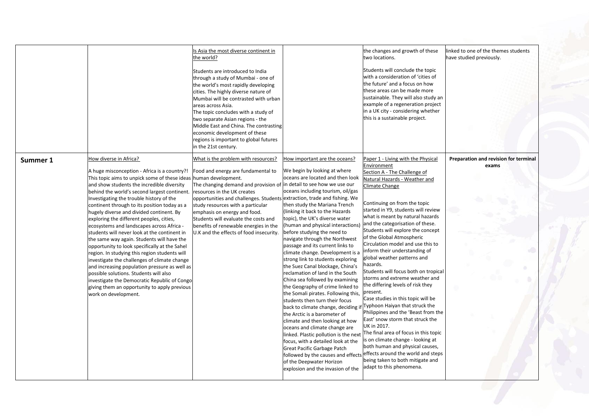|          |                                                                                                                                                                                                                                                                                                                                                                                                                                                                                                                                                                                                                                                                                                                                                                                                                                                                                                                                            | Is Asia the most diverse continent in<br>he world?:<br>Students are introduced to India<br>through a study of Mumbai - one of                                                                                                                                                                                                                                                               |                                                                                                                                                                                                                                                                                                                                                                                                                                                                                                                                                                                                                                                                                                                                                                                                                                                                                                                                                                                                                                                                                                                          | the changes and growth of these<br>two locations.<br>Students will conclude the topic<br>with a consideration of 'cities of                                                                                                                                                                                                                                                                                                                                                                                                                                                                                                                                                                                                                                                                                                                                                                                                                                                                 | linked to one of the themes students<br>have studied previously. |
|----------|--------------------------------------------------------------------------------------------------------------------------------------------------------------------------------------------------------------------------------------------------------------------------------------------------------------------------------------------------------------------------------------------------------------------------------------------------------------------------------------------------------------------------------------------------------------------------------------------------------------------------------------------------------------------------------------------------------------------------------------------------------------------------------------------------------------------------------------------------------------------------------------------------------------------------------------------|---------------------------------------------------------------------------------------------------------------------------------------------------------------------------------------------------------------------------------------------------------------------------------------------------------------------------------------------------------------------------------------------|--------------------------------------------------------------------------------------------------------------------------------------------------------------------------------------------------------------------------------------------------------------------------------------------------------------------------------------------------------------------------------------------------------------------------------------------------------------------------------------------------------------------------------------------------------------------------------------------------------------------------------------------------------------------------------------------------------------------------------------------------------------------------------------------------------------------------------------------------------------------------------------------------------------------------------------------------------------------------------------------------------------------------------------------------------------------------------------------------------------------------|---------------------------------------------------------------------------------------------------------------------------------------------------------------------------------------------------------------------------------------------------------------------------------------------------------------------------------------------------------------------------------------------------------------------------------------------------------------------------------------------------------------------------------------------------------------------------------------------------------------------------------------------------------------------------------------------------------------------------------------------------------------------------------------------------------------------------------------------------------------------------------------------------------------------------------------------------------------------------------------------|------------------------------------------------------------------|
|          |                                                                                                                                                                                                                                                                                                                                                                                                                                                                                                                                                                                                                                                                                                                                                                                                                                                                                                                                            | the world's most rapidly developing<br>cities. The highly diverse nature of<br>Mumbai will be contrasted with urban<br>areas across Asia.<br>The topic concludes with a study of<br>two separate Asian regions - the<br>Middle East and China. The contrasting<br>economic development of these<br>regions is important to global futures<br>in the 21st century.                           |                                                                                                                                                                                                                                                                                                                                                                                                                                                                                                                                                                                                                                                                                                                                                                                                                                                                                                                                                                                                                                                                                                                          | the future' and a focus on how<br>these areas can be made more<br>sustainable. They will also study an<br>example of a regeneration project<br>in a UK city - considering whether<br>this is a sustainable project.                                                                                                                                                                                                                                                                                                                                                                                                                                                                                                                                                                                                                                                                                                                                                                         |                                                                  |
| Summer 1 | How diverse in Africa?<br>A huge misconception - Africa is a country?!<br>This topic aims to unpick some of these ideas human development.<br>and show students the incredible diversity<br>behind the world's second largest continent.<br>Investigating the trouble history of the<br>continent through to its position today as a<br>hugely diverse and divided continent. By<br>exploring the different peoples, cities,<br>ecosystems and landscapes across Africa -<br>students will never look at the continent in<br>the same way again. Students will have the<br>opportunity to look specifically at the Sahel<br>egion. In studying this region students will<br>nvestigate the challenges of climate change<br>and increasing population pressure as well as<br>possible solutions. Students will also<br>investigate the Democratic Republic of Congo<br>giving them an opportunity to apply previous<br>work on development. | What is the problem with resources?<br>Food and energy are fundamental to<br>The changing demand and provision of<br>resources in the UK creates<br>opportunities and challenges. Students<br>study resources with a particular<br>emphasis on energy and food.<br>Students will evaluate the costs and<br>benefits of renewable energies in the<br>U.K and the effects of food insecurity. | How important are the oceans?<br>We begin by looking at where<br>oceans are located and then look<br>in detail to see how we use our<br>oceans including tourism, oil/gas<br>extraction, trade and fishing. We<br>then study the Mariana Trench<br>(linking it back to the Hazards<br>topic), the UK's diverse water<br>(human and physical interactions)<br>before studying the need to<br>navigate through the Northwest<br>passage and its current links to<br>climate change. Development is a<br>strong link to students exploring<br>the Suez Canal blockage, China's<br>reclamation of land in the South<br>China sea followed by examining<br>the Geography of crime linked to<br>the Somali pirates. Following this,<br>students then turn their focus<br>back to climate change, deciding if Typhoon Haiyan that struck the<br>the Arctic is a barometer of<br>climate and then looking at how<br>oceans and climate change are<br>linked. Plastic pollution is the next<br>focus, with a detailed look at the<br>Great Pacific Garbage Patch<br>of the Deepwater Horizon<br>explosion and the invasion of the | Paper 1 - Living with the Physical<br>Environment<br>Section A - The Challenge of<br>Natural Hazards - Weather and<br>Climate Change<br>Continuing on from the topic<br>started in Y9, students will review<br>what is meant by natural hazards<br>and the categorisation of these.<br>Students will explore the concept<br>of the Global Atmospheric<br>Circulation model and use this to<br>inform their understanding of<br>global weather patterns and<br>hazards.<br>Students will focus both on tropical<br>storms and extreme weather and<br>the differing levels of risk they<br>present.<br>Case studies in this topic will be<br>Philippines and the 'Beast from the<br>East' snow storm that struck the<br>UK in 2017.<br>The final area of focus in this topic<br>is on climate change - looking at<br>both human and physical causes,<br>followed by the causes and effects effects around the world and steps<br>being taken to both mitigate and<br>adapt to this phenomena. | Preparation and revision for terminal<br>exams                   |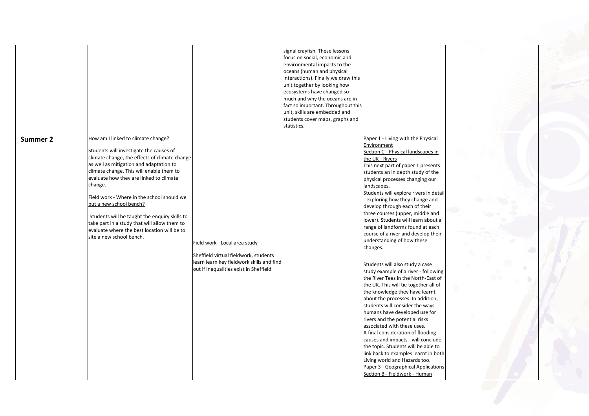|          | How am I linked to climate change?            |                                                                                    | signal crayfish. These lessons<br>focus on social, economic and<br>environmental impacts to the<br>oceans (human and physical<br>interactions). Finally we draw this<br>unit together by looking how<br>ecosystems have changed so<br>much and why the oceans are in<br>fact so important. Throughout this<br>unit, skills are embedded and<br>students cover maps, graphs and<br>statistics. | Paper 1 - Living with the Physical                                      |   |
|----------|-----------------------------------------------|------------------------------------------------------------------------------------|-----------------------------------------------------------------------------------------------------------------------------------------------------------------------------------------------------------------------------------------------------------------------------------------------------------------------------------------------------------------------------------------------|-------------------------------------------------------------------------|---|
| Summer 2 | Students will investigate the causes of       |                                                                                    |                                                                                                                                                                                                                                                                                                                                                                                               | Environment<br>Section C - Physical landscapes in                       |   |
|          | climate change, the effects of climate change |                                                                                    |                                                                                                                                                                                                                                                                                                                                                                                               | the UK - Rivers                                                         |   |
|          | as well as mitigation and adaptation to       |                                                                                    |                                                                                                                                                                                                                                                                                                                                                                                               | This next part of paper 1 presents                                      |   |
|          | climate change. This will enable them to      |                                                                                    |                                                                                                                                                                                                                                                                                                                                                                                               | students an in depth study of the                                       |   |
|          | evaluate how they are linked to climate       |                                                                                    |                                                                                                                                                                                                                                                                                                                                                                                               | physical processes changing our                                         |   |
|          | change.                                       |                                                                                    |                                                                                                                                                                                                                                                                                                                                                                                               | landscapes.                                                             |   |
|          | Field work - Where in the school should we    |                                                                                    |                                                                                                                                                                                                                                                                                                                                                                                               | Students will explore rivers in detail                                  |   |
|          | put a new school bench?                       |                                                                                    |                                                                                                                                                                                                                                                                                                                                                                                               | - exploring how they change and                                         |   |
|          |                                               |                                                                                    |                                                                                                                                                                                                                                                                                                                                                                                               | develop through each of their                                           |   |
|          | Students will be taught the enquiry skills to |                                                                                    |                                                                                                                                                                                                                                                                                                                                                                                               | three courses (upper, middle and                                        |   |
|          | take part in a study that will allow them to  |                                                                                    |                                                                                                                                                                                                                                                                                                                                                                                               | lower). Students will learn about a                                     |   |
|          | evaluate where the best location will be to   |                                                                                    |                                                                                                                                                                                                                                                                                                                                                                                               | range of landforms found at each                                        |   |
|          | site a new school bench.                      |                                                                                    |                                                                                                                                                                                                                                                                                                                                                                                               | course of a river and develop their<br>understanding of how these       |   |
|          |                                               | Field work - Local area study                                                      |                                                                                                                                                                                                                                                                                                                                                                                               | changes.                                                                |   |
|          |                                               |                                                                                    |                                                                                                                                                                                                                                                                                                                                                                                               |                                                                         | 6 |
|          |                                               | Sheffield virtual fieldwork, students<br>learn learn key fieldwork skills and find |                                                                                                                                                                                                                                                                                                                                                                                               |                                                                         |   |
|          |                                               | out if Inequalities exist in Sheffield                                             |                                                                                                                                                                                                                                                                                                                                                                                               | Students will also study a case                                         |   |
|          |                                               |                                                                                    |                                                                                                                                                                                                                                                                                                                                                                                               | study example of a river - following                                    |   |
|          |                                               |                                                                                    |                                                                                                                                                                                                                                                                                                                                                                                               | the River Tees in the North-East of                                     |   |
|          |                                               |                                                                                    |                                                                                                                                                                                                                                                                                                                                                                                               | the UK. This will tie together all of<br>the knowledge they have learnt |   |
|          |                                               |                                                                                    |                                                                                                                                                                                                                                                                                                                                                                                               | about the processes. In addition,                                       |   |
|          |                                               |                                                                                    |                                                                                                                                                                                                                                                                                                                                                                                               | students will consider the ways                                         |   |
|          |                                               |                                                                                    |                                                                                                                                                                                                                                                                                                                                                                                               | humans have developed use for                                           |   |
|          |                                               |                                                                                    |                                                                                                                                                                                                                                                                                                                                                                                               | rivers and the potential risks                                          |   |
|          |                                               |                                                                                    |                                                                                                                                                                                                                                                                                                                                                                                               | associated with these uses.                                             |   |
|          |                                               |                                                                                    |                                                                                                                                                                                                                                                                                                                                                                                               | A final consideration of flooding -                                     |   |
|          |                                               |                                                                                    |                                                                                                                                                                                                                                                                                                                                                                                               | causes and impacts - will conclude                                      |   |
|          |                                               |                                                                                    |                                                                                                                                                                                                                                                                                                                                                                                               | the topic. Students will be able to                                     |   |
|          |                                               |                                                                                    |                                                                                                                                                                                                                                                                                                                                                                                               | link back to examples learnt in both                                    |   |
|          |                                               |                                                                                    |                                                                                                                                                                                                                                                                                                                                                                                               | Living world and Hazards too.                                           |   |
|          |                                               |                                                                                    |                                                                                                                                                                                                                                                                                                                                                                                               | Paper 3 - Geographical Applications                                     |   |
|          |                                               |                                                                                    |                                                                                                                                                                                                                                                                                                                                                                                               | Section B - Fieldwork - Human                                           |   |